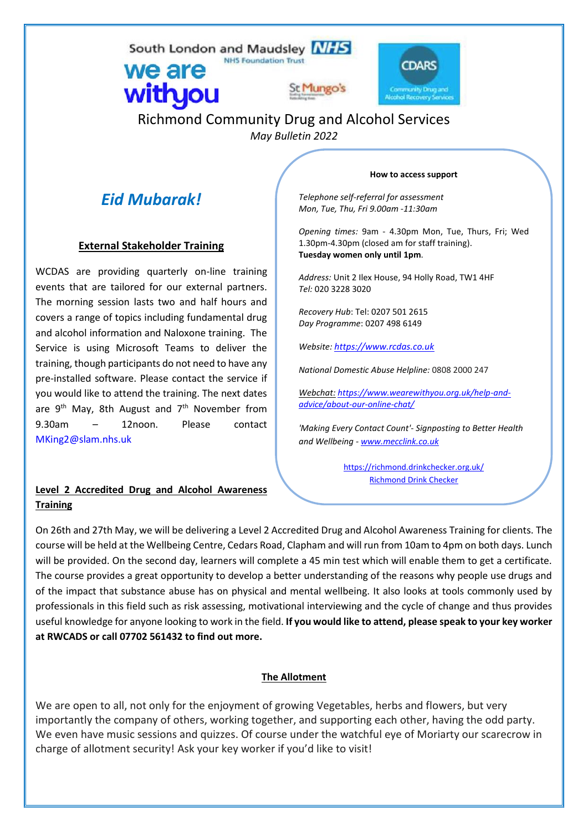South London and Maudsley NHS **NHS Foundation Trust** 



# Richmond Community Drug and Alcohol Services *May Bulletin 2022*

St Mungo:

# *Eid Mubarak!*

we are

withyou

## **External Stakeholder Training**

WCDAS are providing quarterly on-line training events that are tailored for our external partners. The morning session lasts two and half hours and covers a range of topics including fundamental drug and alcohol information and Naloxone training. The Service is using Microsoft Teams to deliver the training, though participants do not need to have any pre-installed software. Please contact the service if you would like to attend the training. The next dates are  $9^{th}$  May, 8th August and  $7^{th}$  November from 9.30am – 12noon. Please contact [MKing2@slam.nhs.uk](mailto:MKing2@slam.nhs.uk)

## **Level 2 Accredited Drug and Alcohol Awareness Training**

#### **How to access support**

*Telephone self-referral for assessment Mon, Tue, Thu, Fri 9.00am -11:30am*

*Opening times:* 9am - 4.30pm Mon, Tue, Thurs, Fri; Wed 1.30pm-4.30pm (closed am for staff training). **Tuesday women only until 1pm**.

*Address:* Unit 2 Ilex House, 94 Holly Road, TW1 4HF *Tel:* 020 3228 3020

*Recovery Hub*: Tel: 0207 501 2615 *Day Programme*: 0207 498 6149

*Website: [https://www.rcdas.co.uk](https://www.rcdas.co.uk/)*

*National Domestic Abuse Helpline:* 0808 2000 247

*Webchat: https://www.wearewithyou.org.uk/help-andadvice/about-our-online-chat/*

*'Making Every Contact Count'- Signposting to Better Health and Wellbeing - [www.mecclink.co.uk](http://www.mecclink.co.uk/)*

> <https://richmond.drinkchecker.org.uk/> [Richmond Drink Checker](https://richmond.drinkchecker.org.uk/)

On 26th and 27th May, we will be delivering a Level 2 Accredited Drug and Alcohol Awareness Training for clients. The course will be held at the Wellbeing Centre, Cedars Road, Clapham and will run from 10am to 4pm on both days. Lunch will be provided. On the second day, learners will complete a 45 min test which will enable them to get a certificate. The course provides a great opportunity to develop a better understanding of the reasons why people use drugs and of the impact that substance abuse has on physical and mental wellbeing. It also looks at tools commonly used by professionals in this field such as risk assessing, motivational interviewing and the cycle of change and thus provides useful knowledge for anyone looking to work in the field. **If you would like to attend, please speak to your key worker at RWCADS or call 07702 561432 to find out more.**

## **The Allotment**

We are open to all, not only for the enjoyment of growing Vegetables, herbs and flowers, but very importantly the company of others, working together, and supporting each other, having the odd party. We even have music sessions and quizzes. Of course under the watchful eye of Moriarty our scarecrow in charge of allotment security! Ask your key worker if you'd like to visit!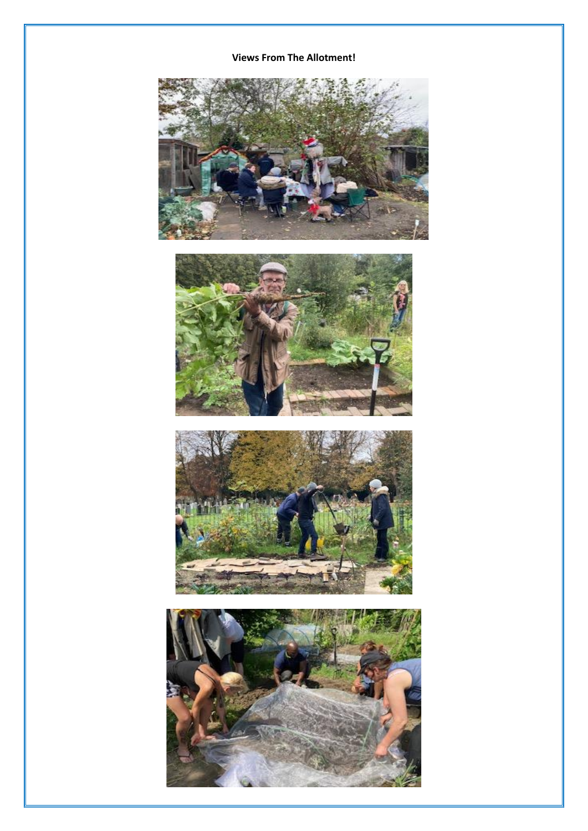## **Views From The Allotment!**

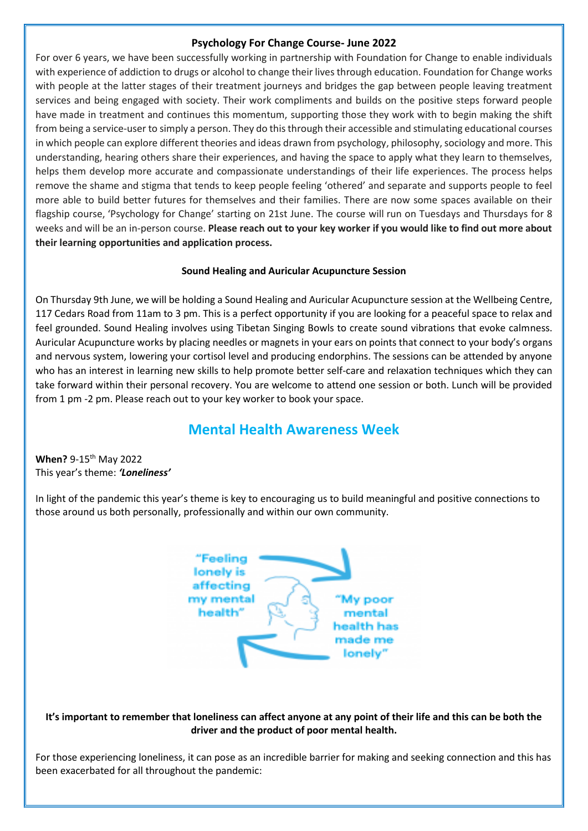#### **Psychology For Change Course- June 2022**

For over 6 years, we have been successfully working in partnership with Foundation for Change to enable individuals with experience of addiction to drugs or alcohol to change their lives through education. Foundation for Change works with people at the latter stages of their treatment journeys and bridges the gap between people leaving treatment services and being engaged with society. Their work compliments and builds on the positive steps forward people have made in treatment and continues this momentum, supporting those they work with to begin making the shift from being a service-user to simply a person. They do this through their accessible and stimulating educational courses in which people can explore different theories and ideas drawn from psychology, philosophy, sociology and more. This understanding, hearing others share their experiences, and having the space to apply what they learn to themselves, helps them develop more accurate and compassionate understandings of their life experiences. The process helps remove the shame and stigma that tends to keep people feeling 'othered' and separate and supports people to feel more able to build better futures for themselves and their families. There are now some spaces available on their flagship course, 'Psychology for Change' starting on 21st June. The course will run on Tuesdays and Thursdays for 8 weeks and will be an in-person course. **Please reach out to your key worker if you would like to find out more about their learning opportunities and application process.**

#### **Sound Healing and Auricular Acupuncture Session**

On Thursday 9th June, we will be holding a Sound Healing and Auricular Acupuncture session at the Wellbeing Centre, 117 Cedars Road from 11am to 3 pm. This is a perfect opportunity if you are looking for a peaceful space to relax and feel grounded. Sound Healing involves using Tibetan Singing Bowls to create sound vibrations that evoke calmness. Auricular Acupuncture works by placing needles or magnets in your ears on points that connect to your body's organs and nervous system, lowering your cortisol level and producing endorphins. The sessions can be attended by anyone who has an interest in learning new skills to help promote better self-care and relaxation techniques which they can take forward within their personal recovery. You are welcome to attend one session or both. Lunch will be provided from 1 pm -2 pm. Please reach out to your key worker to book your space.

# **Mental Health Awareness Week**

**When?** 9-15<sup>th</sup> May 2022 This year's theme: *'Loneliness'* 

In light of the pandemic this year's theme is key to encouraging us to build meaningful and positive connections to those around us both personally, professionally and within our own community.



#### **It's important to remember that loneliness can affect anyone at any point of their life and this can be both the driver and the product of poor mental health.**

For those experiencing loneliness, it can pose as an incredible barrier for making and seeking connection and this has been exacerbated for all throughout the pandemic: